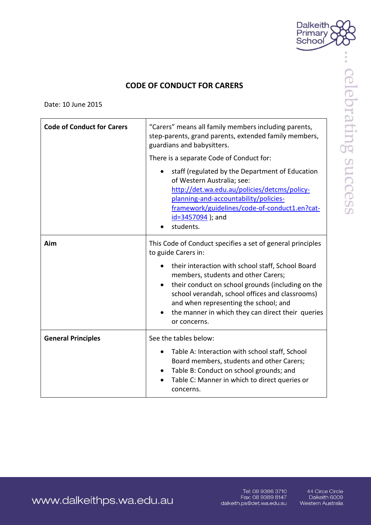

celebrating success

## **CODE OF CONDUCT FOR CARERS**

Date: 10 June 2015

| <b>Code of Conduct for Carers</b> | "Carers" means all family members including parents,<br>step-parents, grand parents, extended family members,<br>guardians and babysitters.<br>There is a separate Code of Conduct for:                                                                                                                                     |
|-----------------------------------|-----------------------------------------------------------------------------------------------------------------------------------------------------------------------------------------------------------------------------------------------------------------------------------------------------------------------------|
|                                   | staff (regulated by the Department of Education<br>of Western Australia; see:<br>http://det.wa.edu.au/policies/detcms/policy-<br>planning-and-accountability/policies-<br>framework/guidelines/code-of-conduct1.en?cat-<br>$id = 3457094$ ); and<br>students.                                                               |
| Aim                               | This Code of Conduct specifies a set of general principles<br>to guide Carers in:                                                                                                                                                                                                                                           |
|                                   | their interaction with school staff, School Board<br>members, students and other Carers;<br>their conduct on school grounds (including on the<br>$\bullet$<br>school verandah, school offices and classrooms)<br>and when representing the school; and<br>the manner in which they can direct their queries<br>or concerns. |
| <b>General Principles</b>         | See the tables below:                                                                                                                                                                                                                                                                                                       |
|                                   | Table A: Interaction with school staff, School<br>٠<br>Board members, students and other Carers;<br>Table B: Conduct on school grounds; and<br>$\bullet$<br>Table C: Manner in which to direct queries or<br>concerns.                                                                                                      |

www.dalkeithps.wa.edu.au

Tel: 08 9386 3710 Fax: 08 9389 8147<br>Fax: 08 9389 8147<br>dalkeith.ps@det.wa.edu.au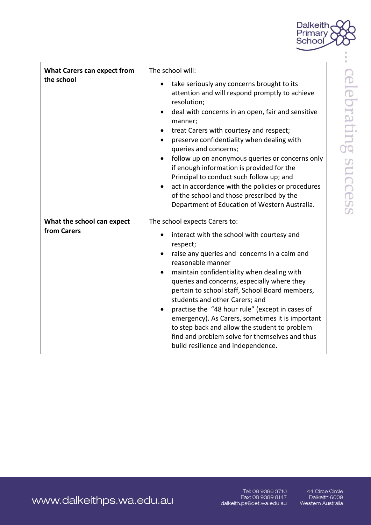

| <b>What Carers can expect from</b><br>the school | The school will:<br>take seriously any concerns brought to its<br>attention and will respond promptly to achieve<br>resolution;<br>deal with concerns in an open, fair and sensitive<br>manner;<br>treat Carers with courtesy and respect;<br>٠<br>preserve confidentiality when dealing with<br>queries and concerns;<br>follow up on anonymous queries or concerns only<br>if enough information is provided for the<br>Principal to conduct such follow up; and<br>act in accordance with the policies or procedures<br>of the school and those prescribed by the<br>Department of Education of Western Australia.   |
|--------------------------------------------------|-------------------------------------------------------------------------------------------------------------------------------------------------------------------------------------------------------------------------------------------------------------------------------------------------------------------------------------------------------------------------------------------------------------------------------------------------------------------------------------------------------------------------------------------------------------------------------------------------------------------------|
| What the school can expect<br>from Carers        | The school expects Carers to:<br>interact with the school with courtesy and<br>respect;<br>raise any queries and concerns in a calm and<br>$\bullet$<br>reasonable manner<br>maintain confidentiality when dealing with<br>$\bullet$<br>queries and concerns, especially where they<br>pertain to school staff, School Board members,<br>students and other Carers; and<br>practise the "48 hour rule" (except in cases of<br>emergency). As Carers, sometimes it is important<br>to step back and allow the student to problem<br>find and problem solve for themselves and thus<br>build resilience and independence. |

www.dalkeithps.wa.edu.au

Tel: 08 9386 3710<br>Fax: 08 9389 8147<br>dalkeith.ps@det.wa.edu.au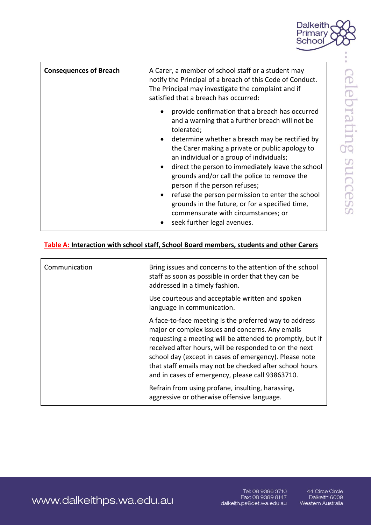

| <b>Consequences of Breach</b> | A Carer, a member of school staff or a student may<br>notify the Principal of a breach of this Code of Conduct.<br>The Principal may investigate the complaint and if<br>satisfied that a breach has occurred:                                                                                                                                                                                                                                                                                                                                                                                                              |
|-------------------------------|-----------------------------------------------------------------------------------------------------------------------------------------------------------------------------------------------------------------------------------------------------------------------------------------------------------------------------------------------------------------------------------------------------------------------------------------------------------------------------------------------------------------------------------------------------------------------------------------------------------------------------|
|                               | provide confirmation that a breach has occurred<br>and a warning that a further breach will not be<br>tolerated;<br>determine whether a breach may be rectified by<br>$\bullet$<br>the Carer making a private or public apology to<br>an individual or a group of individuals;<br>direct the person to immediately leave the school<br>$\bullet$<br>grounds and/or call the police to remove the<br>person if the person refuses;<br>refuse the person permission to enter the school<br>$\bullet$<br>grounds in the future, or for a specified time,<br>commensurate with circumstances; or<br>seek further legal avenues. |

## Table A: Interaction with school staff, School Board members, students and other Carers

| Communication | Bring issues and concerns to the attention of the school<br>staff as soon as possible in order that they can be<br>addressed in a timely fashion.                                                                                                                                                                                                                                                          |
|---------------|------------------------------------------------------------------------------------------------------------------------------------------------------------------------------------------------------------------------------------------------------------------------------------------------------------------------------------------------------------------------------------------------------------|
|               | Use courteous and acceptable written and spoken<br>language in communication.                                                                                                                                                                                                                                                                                                                              |
|               | A face-to-face meeting is the preferred way to address<br>major or complex issues and concerns. Any emails<br>requesting a meeting will be attended to promptly, but if<br>received after hours, will be responded to on the next<br>school day (except in cases of emergency). Please note<br>that staff emails may not be checked after school hours<br>and in cases of emergency, please call 93863710. |
|               | Refrain from using profane, insulting, harassing,<br>aggressive or otherwise offensive language.                                                                                                                                                                                                                                                                                                           |

www.dalkeithps.wa.edu.au

Tel: 08 9386 3710 Fax: 08 9389 8147 dalkeith.ps@det.wa.edu.au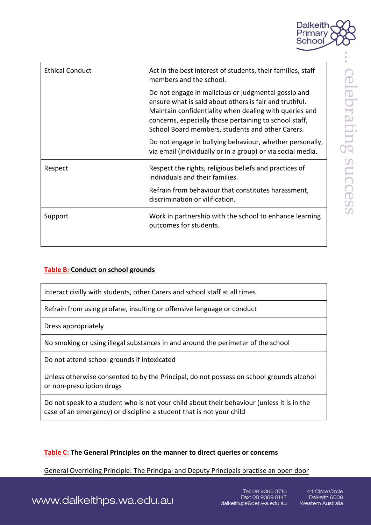

| <b>Ethical Conduct</b> | Act in the best interest of students, their families, staff<br>members and the school.                                                                                                                                                                                                |
|------------------------|---------------------------------------------------------------------------------------------------------------------------------------------------------------------------------------------------------------------------------------------------------------------------------------|
|                        | Do not engage in malicious or judgmental gossip and<br>ensure what is said about others is fair and truthful.<br>Maintain confidentiality when dealing with queries and<br>concerns, especially those pertaining to school staff,<br>School Board members, students and other Carers. |
|                        | Do not engage in bullying behaviour, whether personally,<br>via email (individually or in a group) or via social media.                                                                                                                                                               |
| Respect                | Respect the rights, religious beliefs and practices of<br>individuals and their families.                                                                                                                                                                                             |
|                        | Refrain from behaviour that constitutes harassment,<br>discrimination or vilification.                                                                                                                                                                                                |
| Support                | Work in partnership with the school to enhance learning<br>outcomes for students.                                                                                                                                                                                                     |

## **Table B: Conduct on school grounds**

Interact civilly with students, other Carers and school staff at all times

Refrain from using profane, insulting or offensive language or conduct

Dress appropriately

No smoking or using illegal substances in and around the perimeter of the school

Do not attend school grounds if intoxicated

Unless otherwise consented to by the Principal, do not possess on school grounds alcohol or non-prescription drugs

Do not speak to a student who is not your child about their behaviour (unless it is in the case of an emergency) or discipline a student that is not your child

## **Table C: The General Principles on the manner to direct queries or concerns**

General Overriding Principle: The Principal and Deputy Principals practise an open door

celebrating succes

www.dalkeithps.wa.edu.au

Tel: 08 9386 3710 Fax: 08 9389 8147 dalkeith.ps@det.wa.edu.au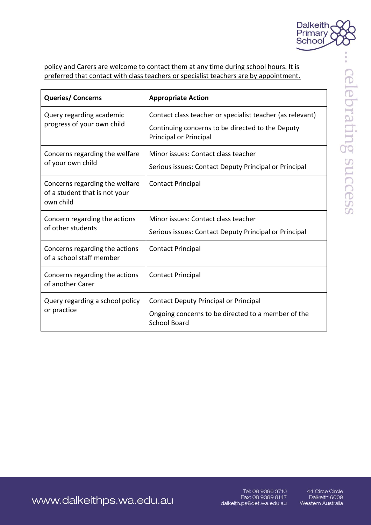

policy and Carers are welcome to contact them at any time during school hours. It is preferred that contact with class teachers or specialist teachers are by appointment.

| <b>Queries/Concerns</b>                                                      | <b>Appropriate Action</b>                                                                                                               |
|------------------------------------------------------------------------------|-----------------------------------------------------------------------------------------------------------------------------------------|
| Query regarding academic<br>progress of your own child                       | Contact class teacher or specialist teacher (as relevant)<br>Continuing concerns to be directed to the Deputy<br>Principal or Principal |
| Concerns regarding the welfare<br>of your own child                          | Minor issues: Contact class teacher<br>Serious issues: Contact Deputy Principal or Principal                                            |
| Concerns regarding the welfare<br>of a student that is not your<br>own child | <b>Contact Principal</b>                                                                                                                |
| Concern regarding the actions<br>of other students                           | Minor issues: Contact class teacher<br>Serious issues: Contact Deputy Principal or Principal                                            |
| Concerns regarding the actions<br>of a school staff member                   | <b>Contact Principal</b>                                                                                                                |
| Concerns regarding the actions<br>of another Carer                           | <b>Contact Principal</b>                                                                                                                |
| Query regarding a school policy<br>or practice                               | Contact Deputy Principal or Principal<br>Ongoing concerns to be directed to a member of the<br><b>School Board</b>                      |

www.dalkeithps.wa.edu.au

Tel: 08 9386 3710 Fax: 08 9389 8147 dalkeith.ps@det.wa.edu.au